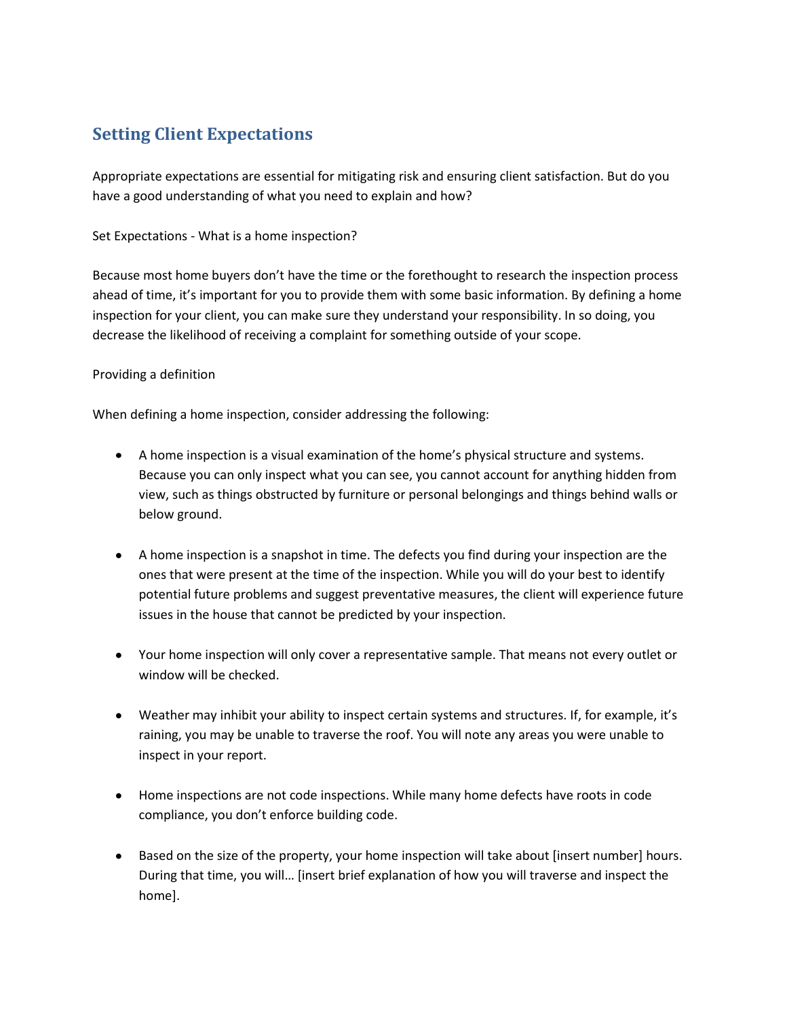# **Setting Client Expectations**

Appropriate expectations are essential for mitigating risk and ensuring client satisfaction. But do you have a good understanding of what you need to explain and how?

Set Expectations - What is a home inspection?

Because most home buyers don't have the time or the forethought to research the inspection process ahead of time, it's important for you to provide them with some basic information. By defining a home inspection for your client, you can make sure they understand your responsibility. In so doing, you decrease the likelihood of receiving a complaint for something outside of your scope.

### Providing a definition

When defining a home inspection, consider addressing the following:

- A home inspection is a visual examination of the home's physical structure and systems. Because you can only inspect what you can see, you cannot account for anything hidden from view, such as things obstructed by furniture or personal belongings and things behind walls or below ground.
- A home inspection is a snapshot in time. The defects you find during your inspection are the ones that were present at the time of the inspection. While you will do your best to identify potential future problems and suggest preventative measures, the client will experience future issues in the house that cannot be predicted by your inspection.
- Your home inspection will only cover a representative sample. That means not every outlet or window will be checked.
- Weather may inhibit your ability to inspect certain systems and structures. If, for example, it's raining, you may be unable to traverse the roof. You will note any areas you were unable to inspect in your report.
- Home inspections are not code inspections. While many home defects have roots in code compliance, you don't enforce building code.
- Based on the size of the property, your home inspection will take about [insert number] hours. During that time, you will… [insert brief explanation of how you will traverse and inspect the home].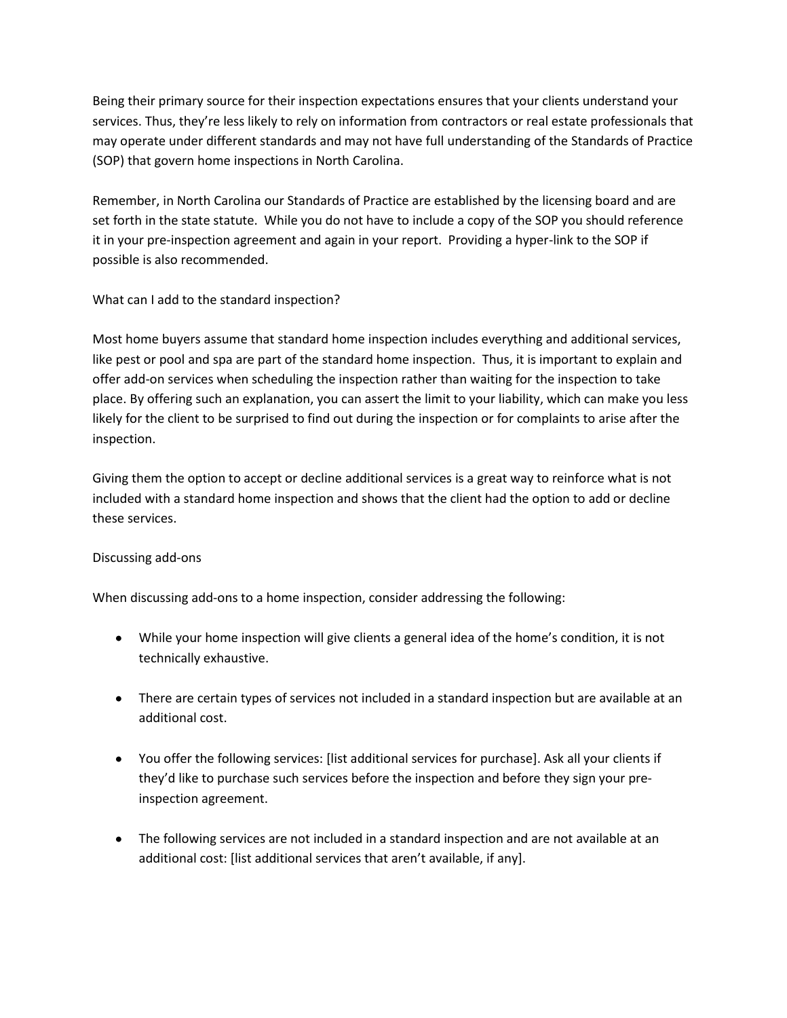Being their primary source for their inspection expectations ensures that your clients understand your services. Thus, they're less likely to rely on information from contractors or real estate professionals that may operate under different standards and may not have full understanding of the Standards of Practice (SOP) that govern home inspections in North Carolina.

Remember, in North Carolina our Standards of Practice are established by the licensing board and are set forth in the state statute. While you do not have to include a copy of the SOP you should reference it in your pre-inspection agreement and again in your report. Providing a hyper-link to the SOP if possible is also recommended.

# What can I add to the standard inspection?

Most home buyers assume that standard home inspection includes everything and additional services, like pest or pool and spa are part of the standard home inspection. Thus, it is important to explain and offer add-on services when scheduling the inspection rather than waiting for the inspection to take place. By offering such an explanation, you can assert the limit to your liability, which can make you less likely for the client to be surprised to find out during the inspection or for complaints to arise after the inspection.

Giving them the option to accept or decline additional services is a great way to reinforce what is not included with a standard home inspection and shows that the client had the option to add or decline these services.

# Discussing add-ons

When discussing add-ons to a home inspection, consider addressing the following:

- While your home inspection will give clients a general idea of the home's condition, it is not technically exhaustive.
- There are certain types of services not included in a standard inspection but are available at an additional cost.
- You offer the following services: [list additional services for purchase]. Ask all your clients if they'd like to purchase such services before the inspection and before they sign your preinspection agreement.
- The following services are not included in a standard inspection and are not available at an additional cost: [list additional services that aren't available, if any].